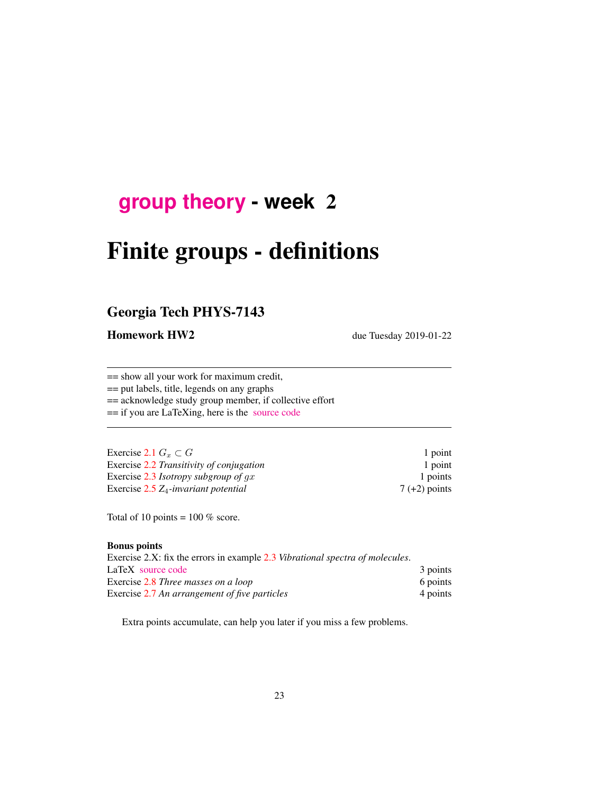## **[group theory](http://birdtracks.eu/courses/PHYS-7143-19/schedule.html) - week** 2

# Finite groups - definitions

## Georgia Tech PHYS-7143

Homework HW2 due Tuesday 2019-01-22

== show all your work for maximum credit,

== put labels, title, legends on any graphs

== acknowledge study group member, if collective effort

== if you are LaTeXing, here is the [source code](http://birdtracks.eu/courses/PHYS-7143-19/exerWeek2.tex)

| Exercise 2.1 $G_r \subset G$             | 1 point         |
|------------------------------------------|-----------------|
| Exercise 2.2 Transitivity of conjugation | 1 point         |
| Exercise 2.3 Isotropy subgroup of $gx$   | 1 points        |
| Exercise $2.5 Z_4$ -invariant potential  | $7 (+2)$ points |

Total of 10 points =  $100\%$  score.

#### Bonus points

| Exercise 2.X: fix the errors in example 2.3 Vibrational spectra of molecules. |          |
|-------------------------------------------------------------------------------|----------|
| LaTeX source code                                                             | 3 points |
| Exercise 2.8 Three masses on a loop                                           | 6 points |
| Exercise 2.7 An arrangement of five particles                                 | 4 points |

Extra points accumulate, can help you later if you miss a few problems.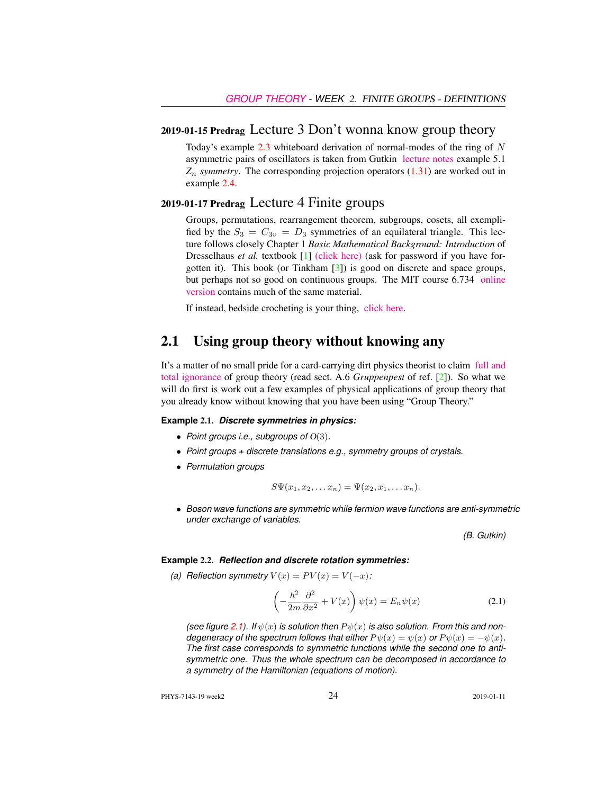#### 2019-01-15 Predrag Lecture 3 Don't wonna know group theory

Today's example  $2.3$  whiteboard derivation of normal-modes of the ring of N asymmetric pairs of oscillators is taken from Gutkin [lecture notes](http://birdtracks.eu/courses/PHYS-7143-19/groups.pdf) example 5.1 *Z*<sup>n</sup> *symmetry*. The corresponding projection operators (1.31) are worked out in example 2.4.

#### 2019-01-17 Predrag Lecture 4 Finite groups

Groups, permutations, rearrangement theorem, subgroups, cosets, all exemplified by the  $S_3 = C_{3v} = D_3$  symmetries of an equilateral triangle. This lecture follows closely Chapter 1 *Basic Mathematical Background: Introduction* of Dresselhaus *et al.* textbook [1] [\(click here\)](http://ChaosBook.org/library/Dresselhaus07.pdf) (ask for password if you have forgotten it). This book (or Tinkham [3]) is good on discrete and space groups, but perhaps not so good on continuous groups. The MIT course 6.734 [online](http://stuff.mit.edu/afs/athena/course/6/6.734j/www/group-full02.pdf) [version](http://stuff.mit.edu/afs/athena/course/6/6.734j/www/group-full02.pdf) contains much of the same material.

If instead, bedside crocheting is your thing, [click here.](http://www.theiff.org/oexhibits/oe1e.html)

## 2.1 Using group theory without knowing any

It's a matter of no small pride for a card-carrying dirt physics theorist to claim [full and](https://www.youtube.com/embed/CvuoY_yPZeM) [total ignorance](https://www.youtube.com/embed/CvuoY_yPZeM) of group theory (read sect. A.6 *Gruppenpest* of ref. [2]). So what we will do first is work out a few examples of physical applications of group theory that you already know without knowing that you have been using "Group Theory."

#### **Example** 2.1. *Discrete symmetries in physics:*

- *Point groups i.e., subgroups of* O(3)*.*
- *Point groups + discrete translations e.g., symmetry groups of crystals.*
- *Permutation groups*

$$
S\Psi(x_1,x_2,\ldots x_n)=\Psi(x_2,x_1,\ldots x_n).
$$

• *Boson wave functions are symmetric while fermion wave functions are anti-symmetric under exchange of variables.*

*(B. Gutkin)*

#### **Example** 2.2. *Reflection and discrete rotation symmetries:*

*(a) Reflection symmetry*  $V(x) = PV(x) = V(-x)$ :

$$
\left(-\frac{\hbar^2}{2m}\frac{\partial^2}{\partial x^2} + V(x)\right)\psi(x) = E_n\psi(x)
$$
\n(2.1)

*(see figure 2.1).* If  $\psi(x)$  *is solution then*  $P\psi(x)$  *is also solution. From this and nondegeneracy of the spectrum follows that either*  $P \psi(x) = \psi(x)$  *or*  $P \psi(x) = -\psi(x)$ *. The first case corresponds to symmetric functions while the second one to antisymmetric one. Thus the whole spectrum can be decomposed in accordance to a symmetry of the Hamiltonian (equations of motion).*

PHYS-7143-19 week2 2019-01-11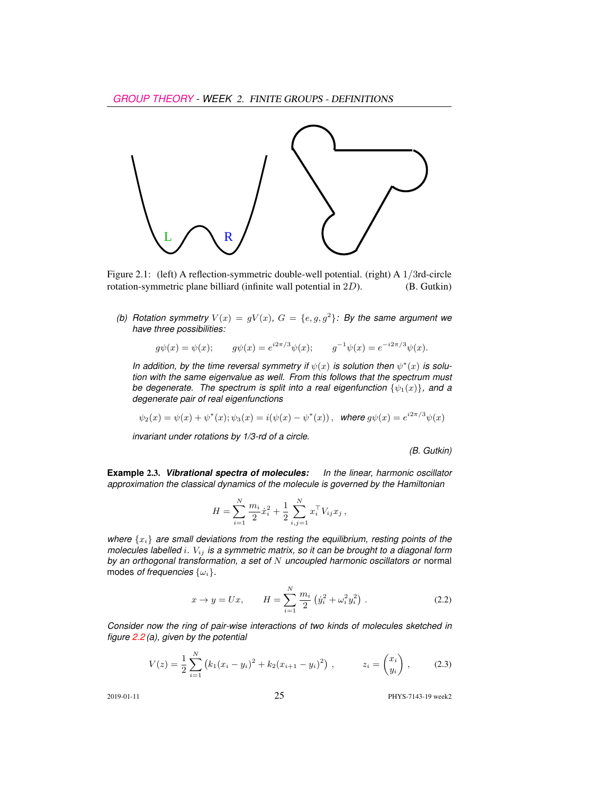

Figure 2.1: (left) A reflection-symmetric double-well potential. (right) A 1/3rd-circle rotation-symmetric plane billiard (infinite wall potential in 2D). (B. Gutkin)

(b) Rotation symmetry  $V(x) = gV(x)$ ,  $G = \{e, g, g^2\}$ : By the same argument we *have three possibilities:*

$$
g\psi(x) = \psi(x);
$$
  $g\psi(x) = e^{i2\pi/3}\psi(x);$   $g^{-1}\psi(x) = e^{-i2\pi/3}\psi(x).$ 

In addition, by the time reversal symmetry if  $\psi(x)$  is solution then  $\psi^*(x)$  is solu*tion with the same eigenvalue as well. From this follows that the spectrum must be degenerate. The spectrum is split into a real eigenfunction*  $\{\psi_1(x)\}\$ *, and a degenerate pair of real eigenfunctions*

$$
\psi_2(x) = \psi(x) + \psi^*(x); \psi_3(x) = i(\psi(x) - \psi^*(x)),
$$
 where  $g\psi(x) = e^{i2\pi/3}\psi(x)$ 

*invariant under rotations by 1/3-rd of a circle.*

*(B. Gutkin)*

**Example** 2.3. *Vibrational spectra of molecules: In the linear, harmonic oscillator approximation the classical dynamics of the molecule is governed by the Hamiltonian*

$$
H = \sum_{i=1}^{N} \frac{m_i}{2} \dot{x}_i^2 + \frac{1}{2} \sum_{i,j=1}^{N} x_i^{\top} V_{ij} x_j ,
$$

*where* {xi} *are small deviations from the resting the equilibrium, resting points of the molecules labelled* i*.* Vij *is a symmetric matrix, so it can be brought to a diagonal form by an orthogonal transformation, a set of* N *uncoupled harmonic oscillators or* normal modes *of frequencies*  $\{\omega_i\}$ .

$$
x \to y = Ux, \qquad H = \sum_{i=1}^{N} \frac{m_i}{2} \left( \dot{y}_i^2 + \omega_i^2 y_i^2 \right). \tag{2.2}
$$

*Consider now the ring of pair-wise interactions of two kinds of molecules sketched in figure 2.2 (a), given by the potential*

$$
V(z) = \frac{1}{2} \sum_{i=1}^{N} (k_1 (x_i - y_i)^2 + k_2 (x_{i+1} - y_i)^2) , \qquad z_i = \begin{pmatrix} x_i \\ y_i \end{pmatrix} , \qquad (2.3)
$$

2019-01-11 25 PHYS-7143-19 week2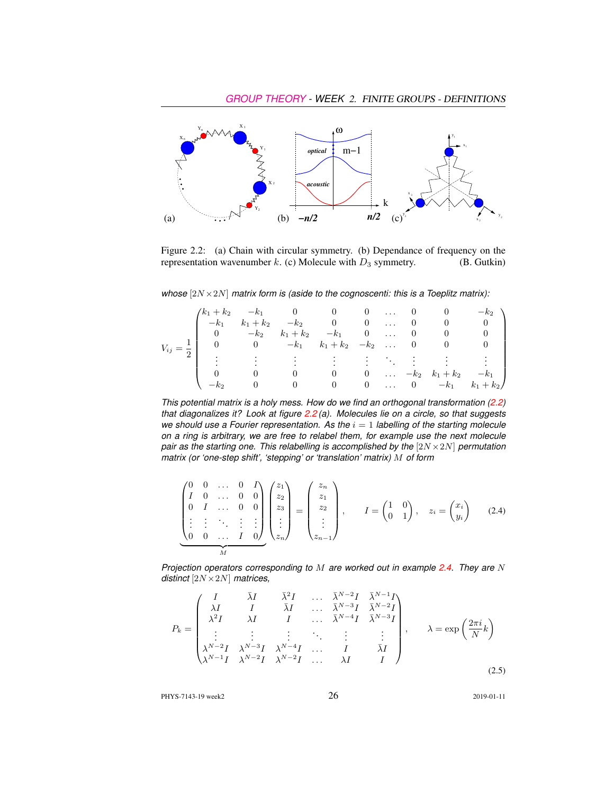

Figure 2.2: (a) Chain with circular symmetry. (b) Dependance of frequency on the representation wavenumber k. (c) Molecule with  $D_3$  symmetry. (B. Gutkin)

*whose* [2N ×2N] *matrix form is (aside to the cognoscenti: this is a Toeplitz matrix):*

|                        |                                                                                                                                   |                    |                             |                                        |  | 0 0 $-k_2$ |                                  |
|------------------------|-----------------------------------------------------------------------------------------------------------------------------------|--------------------|-----------------------------|----------------------------------------|--|------------|----------------------------------|
| $V_{ij} = \frac{1}{5}$ | $\begin{pmatrix} k_1+k_2 & -k_1 & 0 & 0 & 0 & \dots & 0 \ -k_1 & k_1+k_2 & -k_2 & 0 & 0 & \dots & 0 \end{pmatrix}$<br>$k_1 + k_2$ |                    |                             |                                        |  |            |                                  |
|                        |                                                                                                                                   | $-k_2$ $k_1 + k_2$ | $-k_1$ 0  0                 |                                        |  | $\cup$     |                                  |
|                        | 0 $-k_1$ $k_1 + k_2$ $-k_2$ 0 0                                                                                                   |                    |                             |                                        |  |            |                                  |
|                        |                                                                                                                                   |                    | $\sim 10^{11}$ km s $^{-1}$ |                                        |  |            |                                  |
|                        |                                                                                                                                   |                    |                             |                                        |  |            |                                  |
|                        |                                                                                                                                   |                    | $\sim$ 0                    | $\begin{array}{ccc} & & 0 \end{array}$ |  |            | $\ldots$ $-k_2$ $k_1+k_2$ $-k_1$ |
|                        |                                                                                                                                   |                    | $\overline{0}$              | $\begin{array}{ccc} & & 0 \end{array}$ |  |            | $\ldots$ 0 $-k_1$ $k_1+k_2$      |

*This potential matrix is a holy mess. How do we find an orthogonal transformation (2.2) that diagonalizes it? Look at figure 2.2 (a). Molecules lie on a circle, so that suggests we should use a Fourier representation. As the*  $i = 1$  *labelling of the starting molecule on a ring is arbitrary, we are free to relabel them, for example use the next molecule pair as the starting one. This relabelling is accomplished by the* [2N × 2N] *permutation matrix (or 'one-step shift', 'stepping' or 'translation' matrix)* M *of form*

$$
\begin{pmatrix}\n0 & 0 & \dots & 0 & I \\
I & 0 & \dots & 0 & 0 \\
0 & I & \dots & 0 & 0 \\
\vdots & \vdots & \ddots & \vdots & \vdots \\
0 & 0 & \dots & I & 0\n\end{pmatrix}\n\begin{pmatrix}\nz_1 \\
z_2 \\
z_3 \\
\vdots \\
z_n\n\end{pmatrix}\n=\n\begin{pmatrix}\nz_n \\
z_1 \\
z_2 \\
\vdots \\
z_{n-1}\n\end{pmatrix}, \quad I = \begin{pmatrix}\n1 & 0 \\
0 & 1\n\end{pmatrix}, \quad z_i = \begin{pmatrix}\nx_i \\
y_i\n\end{pmatrix}
$$
\n(2.4)

*Projection operators corresponding to* M *are worked out in example 2.4. They are* N *distinct* [2N ×2N] *matrices,*

$$
P_k = \begin{pmatrix} I & \bar{\lambda}I & \bar{\lambda}^2I & \dots & \bar{\lambda}^{N-2}I & \bar{\lambda}^{N-1}I \\ \lambda I & I & \bar{\lambda}I & \dots & \bar{\lambda}^{N-3}I & \bar{\lambda}^{N-2}I \\ \lambda^2I & \lambda I & I & \dots & \bar{\lambda}^{N-4}I & \bar{\lambda}^{N-3}I \\ \vdots & \vdots & \vdots & \ddots & \vdots & \vdots \\ \lambda^{N-2}I & \lambda^{N-3}I & \lambda^{N-4}I & \dots & I & \bar{\lambda}I \\ \lambda^{N-1}I & \lambda^{N-2}I & \lambda^{N-2}I & \dots & \lambda I & I \end{pmatrix}, \quad \lambda = \exp\left(\frac{2\pi i}{N}k\right) \tag{2.5}
$$

PHYS-7143-19 week2 2019-01-11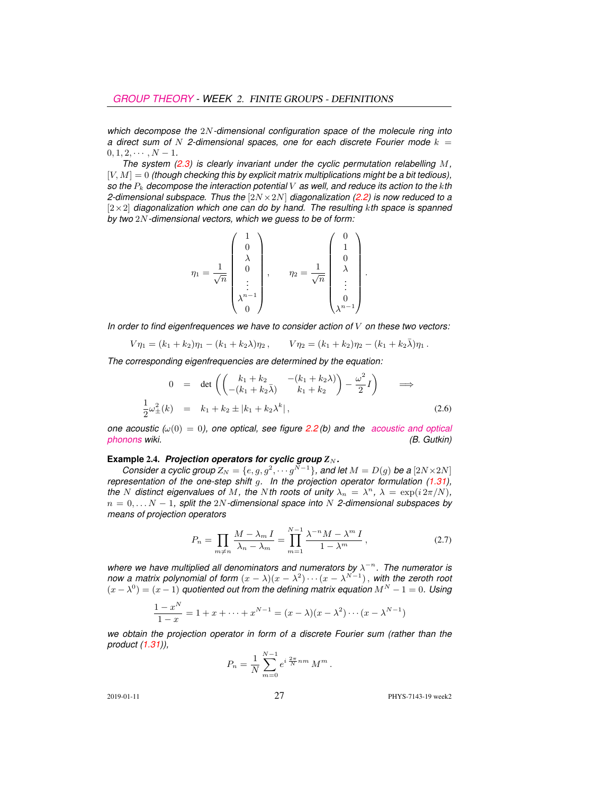*which decompose the* 2N*-dimensional configuration space of the molecule ring into a* direct sum of  $N$  2-dimensional spaces, one for each discrete Fourier mode  $k =$  $0, 1, 2, \cdots, N-1.$ 

*The system (2.3) is clearly invariant under the cyclic permutation relabelling* M*,* [V, M] = 0 *(though checking this by explicit matrix multiplications might be a bit tedious), so the* P<sup>k</sup> *decompose the interaction potential* V *as well, and reduce its action to the* k*th 2-dimensional subspace. Thus the* [2N ×2N] *diagonalization (2.2) is now reduced to a* [2×2] *diagonalization which one can do by hand. The resulting* k*th space is spanned by two* 2N*-dimensional vectors, which we guess to be of form:*

$$
\eta_1 = \frac{1}{\sqrt{n}} \begin{pmatrix} 1 \\ 0 \\ \lambda \\ 0 \\ \vdots \\ \lambda^{n-1} \\ 0 \end{pmatrix}, \qquad \eta_2 = \frac{1}{\sqrt{n}} \begin{pmatrix} 0 \\ 1 \\ 0 \\ \lambda \\ \vdots \\ 0 \\ \lambda^{n-1} \end{pmatrix}.
$$

*In order to find eigenfrequences we have to consider action of* V *on these two vectors:*

$$
V\eta_1 = (k_1 + k_2)\eta_1 - (k_1 + k_2\lambda)\eta_2, \qquad V\eta_2 = (k_1 + k_2)\eta_2 - (k_1 + k_2\bar{\lambda})\eta_1.
$$

*The corresponding eigenfrequencies are determined by the equation:*

$$
0 = \det \left( \begin{pmatrix} k_1 + k_2 & -(k_1 + k_2 \lambda) \\ -(k_1 + k_2 \bar{\lambda}) & k_1 + k_2 \end{pmatrix} - \frac{\omega^2}{2} I \right) \implies
$$
  

$$
\frac{1}{2} \omega_{\pm}^2(k) = k_1 + k_2 \pm |k_1 + k_2 \lambda^k|,
$$
 (2.6)

*one acoustic (* $\omega(0) = 0$ *), one optical, see figure 2.2 (b) and the [acoustic and optical](https://en.wikipedia.org/wiki/Phonon#Acoustic_and_optical_phonons) [phonons](https://en.wikipedia.org/wiki/Phonon#Acoustic_and_optical_phonons) wiki. (B. Gutkin)*

#### **Example 2.4.** *Projection operators for cyclic group* $Z_N$ *.*

*Consider a cyclic group*  $Z_N = \{e, g, g^2, \cdots g^{N-1}\}$ , and let  $M = D(g)$  be a  $[2N \times 2N]$ *representation of the one-step shift q. In the projection operator formulation (1.31)*, *the N* distinct eigenvalues of *M*, the *N*th roots of unity  $\lambda_n = \lambda^n$ ,  $\lambda = \exp(i 2\pi/N)$ , n = 0, . . . N − 1*, split the* 2N*-dimensional space into* N *2-dimensional subspaces by means of projection operators*

$$
P_n = \prod_{m \neq n} \frac{M - \lambda_m I}{\lambda_n - \lambda_m} = \prod_{m=1}^{N-1} \frac{\lambda^{-n} M - \lambda^m I}{1 - \lambda^m},
$$
\n(2.7)

where we have multiplied all denominators and numerators by  $\lambda^{-n}$ . The numerator is *now a matrix polynomial of form*  $(x - \lambda)(x - \lambda^2) \cdots (x - \lambda^{N-1})$ , with the zeroth root  $(x - \lambda^0) = (x - 1)$  *quotiented out from the defining matrix equation*  $M^N - 1 = 0$ . Using

$$
\frac{1-x^N}{1-x} = 1 + x + \dots + x^{N-1} = (x - \lambda)(x - \lambda^2) \cdots (x - \lambda^{N-1})
$$

*we obtain the projection operator in form of a discrete Fourier sum (rather than the product (1.31)),*

$$
P_n = \frac{1}{N} \sum_{m=0}^{N-1} e^{i \frac{2\pi}{N} nm} M^m.
$$

2019-01-11 **27** PHYS-7143-19 week2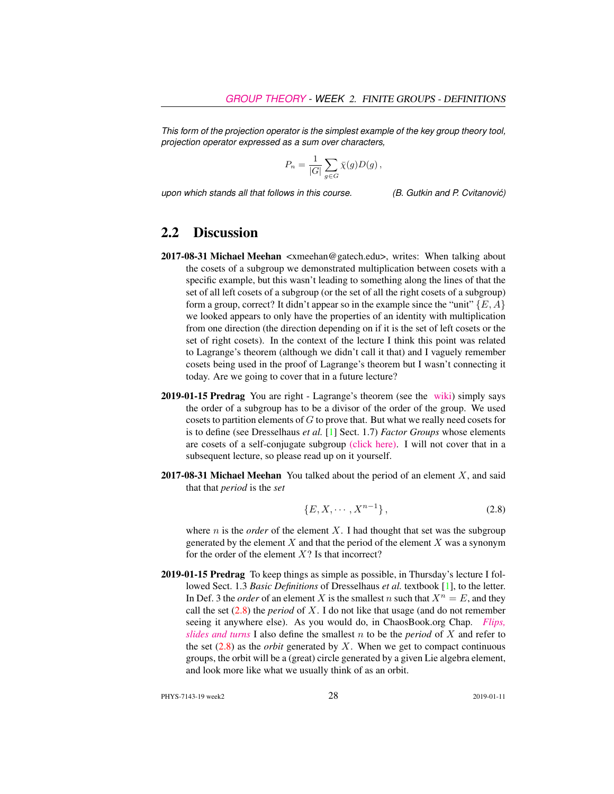*This form of the projection operator is the simplest example of the key group theory tool, projection operator expressed as a sum over characters,*

$$
P_n = \frac{1}{|G|} \sum_{g \in G} \bar{\chi}(g) D(g) \,,
$$

*upon which stands all that follows in this course. (B. Gutkin and P. Cvitanovic)´*

## 2.2 Discussion

- 2017-08-31 Michael Meehan <xmeehan@gatech.edu>, writes: When talking about the cosets of a subgroup we demonstrated multiplication between cosets with a specific example, but this wasn't leading to something along the lines of that the set of all left cosets of a subgroup (or the set of all the right cosets of a subgroup) form a group, correct? It didn't appear so in the example since the "unit"  $\{E, A\}$ we looked appears to only have the properties of an identity with multiplication from one direction (the direction depending on if it is the set of left cosets or the set of right cosets). In the context of the lecture I think this point was related to Lagrange's theorem (although we didn't call it that) and I vaguely remember cosets being used in the proof of Lagrange's theorem but I wasn't connecting it today. Are we going to cover that in a future lecture?
- 2019-01-15 Predrag You are right Lagrange's theorem (see the [wiki\)](https://en.wikipedia.org/wiki/Lagrange%27s_theorem_(group_theory)) simply says the order of a subgroup has to be a divisor of the order of the group. We used cosets to partition elements of G to prove that. But what we really need cosets for is to define (see Dresselhaus *et al.* [1] Sect. 1.7) *Factor Groups* whose elements are cosets of a self-conjugate subgroup [\(click here\).](http://ChaosBook.org/library/Dresselhaus07.pdf) I will not cover that in a subsequent lecture, so please read up on it yourself.
- **2017-08-31 Michael Meehan** You talked about the period of an element  $X$ , and said that that *period* is the *set*

$$
\{E, X, \cdots, X^{n-1}\},\tag{2.8}
$$

where  $n$  is the *order* of the element  $X$ . I had thought that set was the subgroup generated by the element  $X$  and that the period of the element  $X$  was a synonym for the order of the element  $X$ ? Is that incorrect?

2019-01-15 Predrag To keep things as simple as possible, in Thursday's lecture I followed Sect. 1.3 *Basic Definitions* of Dresselhaus *et al.* textbook [1], to the letter. In Def. 3 the *order* of an element X is the smallest n such that  $X^n = E$ , and they call the set  $(2.8)$  the *period* of X. I do not like that usage (and do not remember seeing it anywhere else). As you would do, in ChaosBook.org Chap. *[Flips,](http://chaosbook.org/paper.shtml#finiteGr) [slides and turns](http://chaosbook.org/paper.shtml#finiteGr)* I also define the smallest n to be the *period* of X and refer to the set  $(2.8)$  as the *orbit* generated by X. When we get to compact continuous groups, the orbit will be a (great) circle generated by a given Lie algebra element, and look more like what we usually think of as an orbit.

PHYS-7143-19 week2 28 2019-01-11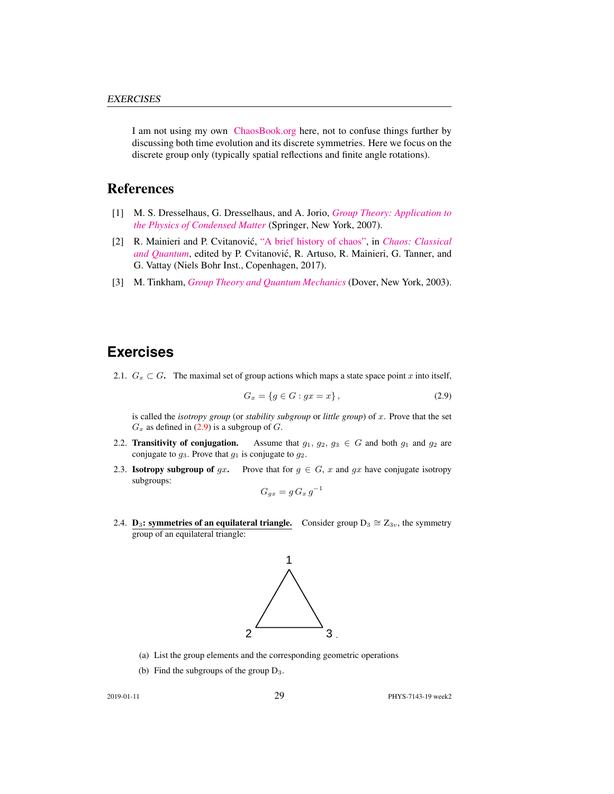I am not using my own [ChaosBook.org](http://ChaosBook.org) here, not to confuse things further by discussing both time evolution and its discrete symmetries. Here we focus on the discrete group only (typically spatial reflections and finite angle rotations).

## References

- [1] M. S. Dresselhaus, G. Dresselhaus, and A. Jorio, *[Group Theory: Application to](http://dx.doi.org/10.1007/978-3-540-32899-5) [the Physics of Condensed Matter](http://dx.doi.org/10.1007/978-3-540-32899-5)* (Springer, New York, 2007).
- [2] R. Mainieri and P. Cvitanovic,´ ["A brief history of chaos",](http://ChaosBook.org/paper.shtml#appendHist) in *[Chaos: Classical](http://ChaosBook.org/paper.shtml#appendHist)* [and Quantum](http://ChaosBook.org/paper.shtml#appendHist), edited by P. Cvitanović, R. Artuso, R. Mainieri, G. Tanner, and G. Vattay (Niels Bohr Inst., Copenhagen, 2017).
- [3] M. Tinkham, *[Group Theory and Quantum Mechanics](http://dx.doi.org/10.1016/c2013-0-01646-5)* (Dover, New York, 2003).

## **Exercises**

2.1.  $G_x \subset G$ . The maximal set of group actions which maps a state space point x into itself,

$$
G_x = \{ g \in G : gx = x \},\tag{2.9}
$$

is called the *isotropy group* (or *stability subgroup* or *little group*) of x. Prove that the set  $G_x$  as defined in (2.9) is a subgroup of G.

- 2.2. Transitivity of conjugation. Assume that  $g_1, g_2, g_3 \in G$  and both  $g_1$  and  $g_2$  are conjugate to  $g_3$ . Prove that  $g_1$  is conjugate to  $g_2$ .
- 2.3. **Isotropy subgroup of** gx. Prove that for  $g \in G$ , x and gx have conjugate isotropy subgroups:

$$
G_{gx} = g G_x g^{-1}
$$

2.4. **D<sub>3</sub>: symmetries of an equilateral triangle.** Consider group  $D_3 \cong Z_{3v}$ , the symmetry group of an equilateral triangle:



- (a) List the group elements and the corresponding geometric operations
- (b) Find the subgroups of the group D3.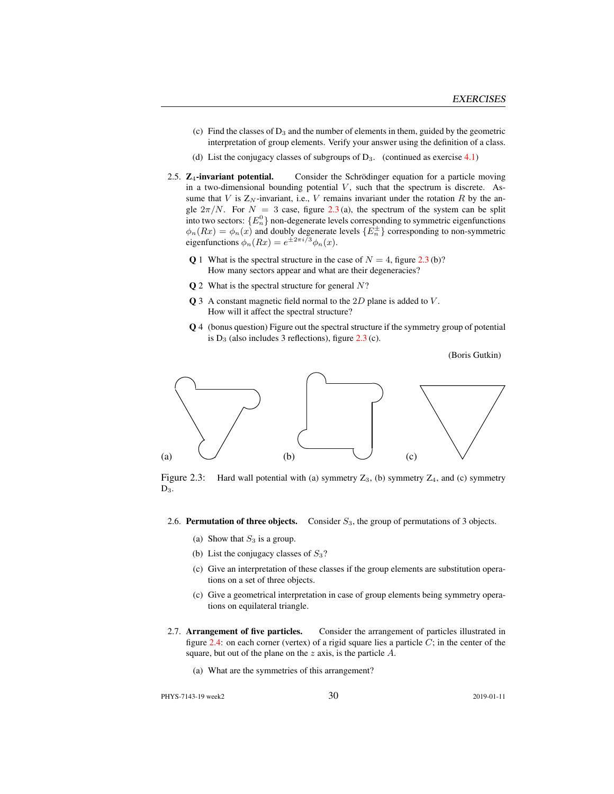- (c) Find the classes of  $D_3$  and the number of elements in them, guided by the geometric interpretation of group elements. Verify your answer using the definition of a class.
- (d) List the conjugacy classes of subgroups of  $D_3$ . (continued as exercise 4.1)
- 2.5. Z<sub>4</sub>-invariant potential. Consider the Schrödinger equation for a particle moving in a two-dimensional bounding potential  $V$ , such that the spectrum is discrete. Assume that V is  $Z_N$ -invariant, i.e., V remains invariant under the rotation R by the angle  $2\pi/N$ . For  $N = 3$  case, figure 2.3(a), the spectrum of the system can be split into two sectors:  $\{E_n^0\}$  non-degenerate levels corresponding to symmetric eigenfunctions  $\phi_n(Rx) = \phi_n(x)$  and doubly degenerate levels  $\{E_n^{\pm}\}\$  corresponding to non-symmetric eigenfunctions  $\phi_n(Rx) = e^{\pm 2\pi i/3} \phi_n(x)$ .
	- Q 1 What is the spectral structure in the case of  $N = 4$ , figure 2.3 (b)? How many sectors appear and what are their degeneracies?
	- $Q$  2 What is the spectral structure for general  $N$ ?
	- $\bf{Q}$  3 A constant magnetic field normal to the 2D plane is added to V. How will it affect the spectral structure?
	- Q 4 (bonus question) Figure out the spectral structure if the symmetry group of potential is  $D_3$  (also includes 3 reflections), figure 2.3 (c).

(Boris Gutkin)



Figure 2.3: Hard wall potential with (a) symmetry  $Z_3$ , (b) symmetry  $Z_4$ , and (c) symmetry  $D_3$ .

- 2.6. **Permutation of three objects.** Consider  $S_3$ , the group of permutations of 3 objects.
	- (a) Show that  $S_3$  is a group.
	- (b) List the conjugacy classes of  $S_3$ ?
	- (c) Give an interpretation of these classes if the group elements are substitution operations on a set of three objects.
	- (c) Give a geometrical interpretation in case of group elements being symmetry operations on equilateral triangle.
- 2.7. Arrangement of five particles. Consider the arrangement of particles illustrated in figure 2.4: on each corner (vertex) of a rigid square lies a particle  $C$ ; in the center of the square, but out of the plane on the  $z$  axis, is the particle  $A$ .
	- (a) What are the symmetries of this arrangement?

PHYS-7143-19 week2 2019-01-11